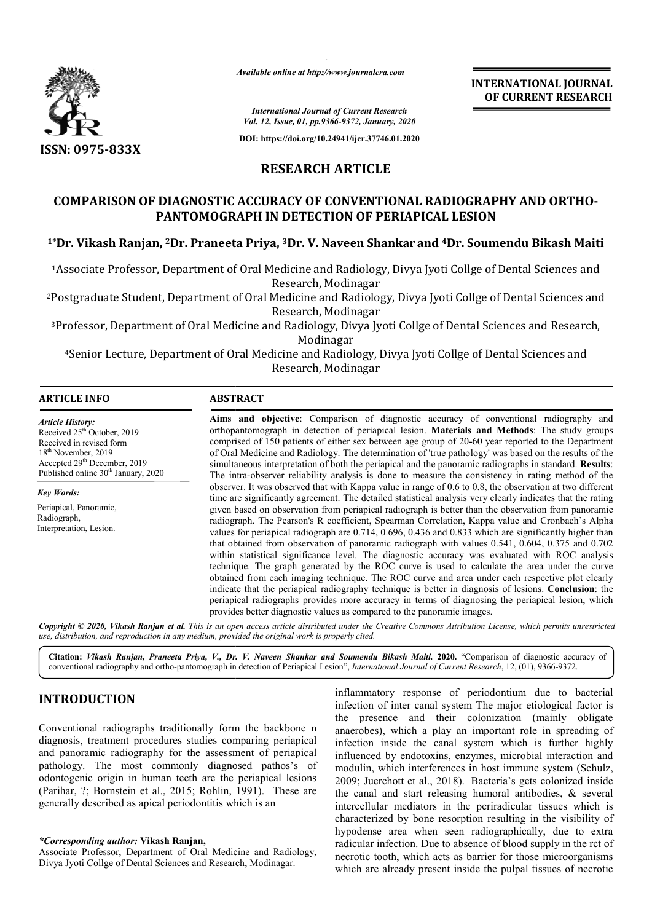

*Available online at http://www.journalcra.com*

# **RESEARCH ARTICLE**

# **COMPARISON OF DIAGNOSTIC ACCURACY OF CONVENTIONAL RADIOGRAPHY AND ORTHO OF DIAGNOSTIC ORTHO-PANTOMOGRAPH IN DETECTION OF PERIAPICAL LESION PERIAPICAL LESION**

## **1\*Dr. Vikash Ranjan, 2Dr. Praneeta Priya, Dr. 3Dr. V. Naveen Shankar and 4Dr. Soumendu Bikash Maiti Dr. Soumendu Bikash**

|                                                                                                                                                                                                                                                                                                                                                                                                                                                                                                                                                                                                                                 |                         | <b>INTERNATIONAL JOURNAL</b><br>OF CURRENT RESEARCH                                                                                                                                                                                                                                                                                                                                                                                                                                                                                                                                                                                                                                                                                                                                                                                                                                                                                                                                                                                                                                                                                                                                                                                                                                                                                                                                                                                                                                                                                                                                                                                                                                                                                                                                                                                                                                                                                                                                                                                  |
|---------------------------------------------------------------------------------------------------------------------------------------------------------------------------------------------------------------------------------------------------------------------------------------------------------------------------------------------------------------------------------------------------------------------------------------------------------------------------------------------------------------------------------------------------------------------------------------------------------------------------------|-------------------------|--------------------------------------------------------------------------------------------------------------------------------------------------------------------------------------------------------------------------------------------------------------------------------------------------------------------------------------------------------------------------------------------------------------------------------------------------------------------------------------------------------------------------------------------------------------------------------------------------------------------------------------------------------------------------------------------------------------------------------------------------------------------------------------------------------------------------------------------------------------------------------------------------------------------------------------------------------------------------------------------------------------------------------------------------------------------------------------------------------------------------------------------------------------------------------------------------------------------------------------------------------------------------------------------------------------------------------------------------------------------------------------------------------------------------------------------------------------------------------------------------------------------------------------------------------------------------------------------------------------------------------------------------------------------------------------------------------------------------------------------------------------------------------------------------------------------------------------------------------------------------------------------------------------------------------------------------------------------------------------------------------------------------------------|
|                                                                                                                                                                                                                                                                                                                                                                                                                                                                                                                                                                                                                                 |                         | <b>International Journal of Current Research</b><br>Vol. 12, Issue, 01, pp.9366-9372, January, 2020                                                                                                                                                                                                                                                                                                                                                                                                                                                                                                                                                                                                                                                                                                                                                                                                                                                                                                                                                                                                                                                                                                                                                                                                                                                                                                                                                                                                                                                                                                                                                                                                                                                                                                                                                                                                                                                                                                                                  |
|                                                                                                                                                                                                                                                                                                                                                                                                                                                                                                                                                                                                                                 |                         | DOI: https://doi.org/10.24941/ijcr.37746.01.2020                                                                                                                                                                                                                                                                                                                                                                                                                                                                                                                                                                                                                                                                                                                                                                                                                                                                                                                                                                                                                                                                                                                                                                                                                                                                                                                                                                                                                                                                                                                                                                                                                                                                                                                                                                                                                                                                                                                                                                                     |
| <b>ISSN: 0975-833X</b>                                                                                                                                                                                                                                                                                                                                                                                                                                                                                                                                                                                                          |                         |                                                                                                                                                                                                                                                                                                                                                                                                                                                                                                                                                                                                                                                                                                                                                                                                                                                                                                                                                                                                                                                                                                                                                                                                                                                                                                                                                                                                                                                                                                                                                                                                                                                                                                                                                                                                                                                                                                                                                                                                                                      |
|                                                                                                                                                                                                                                                                                                                                                                                                                                                                                                                                                                                                                                 | <b>RESEARCH ARTICLE</b> |                                                                                                                                                                                                                                                                                                                                                                                                                                                                                                                                                                                                                                                                                                                                                                                                                                                                                                                                                                                                                                                                                                                                                                                                                                                                                                                                                                                                                                                                                                                                                                                                                                                                                                                                                                                                                                                                                                                                                                                                                                      |
|                                                                                                                                                                                                                                                                                                                                                                                                                                                                                                                                                                                                                                 |                         | <b>COMPARISON OF DIAGNOSTIC ACCURACY OF CONVENTIONAL RADIOGRAPHY AND ORTHO-</b><br>PANTOMOGRAPH IN DETECTION OF PERIAPICAL LESION                                                                                                                                                                                                                                                                                                                                                                                                                                                                                                                                                                                                                                                                                                                                                                                                                                                                                                                                                                                                                                                                                                                                                                                                                                                                                                                                                                                                                                                                                                                                                                                                                                                                                                                                                                                                                                                                                                    |
|                                                                                                                                                                                                                                                                                                                                                                                                                                                                                                                                                                                                                                 |                         | <sup>1</sup> *Dr. Vikash Ranjan, <sup>2</sup> Dr. Praneeta Priya, <sup>3</sup> Dr. V. Naveen Shankar and <sup>4</sup> Dr. Soumendu Bikash Maiti                                                                                                                                                                                                                                                                                                                                                                                                                                                                                                                                                                                                                                                                                                                                                                                                                                                                                                                                                                                                                                                                                                                                                                                                                                                                                                                                                                                                                                                                                                                                                                                                                                                                                                                                                                                                                                                                                      |
|                                                                                                                                                                                                                                                                                                                                                                                                                                                                                                                                                                                                                                 | Research, Modinagar     | <sup>1</sup> Associate Professor, Department of Oral Medicine and Radiology, Divya Jyoti Collge of Dental Sciences and                                                                                                                                                                                                                                                                                                                                                                                                                                                                                                                                                                                                                                                                                                                                                                                                                                                                                                                                                                                                                                                                                                                                                                                                                                                                                                                                                                                                                                                                                                                                                                                                                                                                                                                                                                                                                                                                                                               |
|                                                                                                                                                                                                                                                                                                                                                                                                                                                                                                                                                                                                                                 | Research, Modinagar     | <sup>2</sup> Postgraduate Student, Department of Oral Medicine and Radiology, Divya Jyoti Collge of Dental Sciences and                                                                                                                                                                                                                                                                                                                                                                                                                                                                                                                                                                                                                                                                                                                                                                                                                                                                                                                                                                                                                                                                                                                                                                                                                                                                                                                                                                                                                                                                                                                                                                                                                                                                                                                                                                                                                                                                                                              |
|                                                                                                                                                                                                                                                                                                                                                                                                                                                                                                                                                                                                                                 | Modinagar               | <sup>3</sup> Professor, Department of Oral Medicine and Radiology, Divya Jyoti Collge of Dental Sciences and Research,                                                                                                                                                                                                                                                                                                                                                                                                                                                                                                                                                                                                                                                                                                                                                                                                                                                                                                                                                                                                                                                                                                                                                                                                                                                                                                                                                                                                                                                                                                                                                                                                                                                                                                                                                                                                                                                                                                               |
|                                                                                                                                                                                                                                                                                                                                                                                                                                                                                                                                                                                                                                 | Research, Modinagar     | <sup>4</sup> Senior Lecture, Department of Oral Medicine and Radiology, Divya Jyoti Collge of Dental Sciences and                                                                                                                                                                                                                                                                                                                                                                                                                                                                                                                                                                                                                                                                                                                                                                                                                                                                                                                                                                                                                                                                                                                                                                                                                                                                                                                                                                                                                                                                                                                                                                                                                                                                                                                                                                                                                                                                                                                    |
| <b>ARTICLE INFO</b>                                                                                                                                                                                                                                                                                                                                                                                                                                                                                                                                                                                                             | <b>ABSTRACT</b>         |                                                                                                                                                                                                                                                                                                                                                                                                                                                                                                                                                                                                                                                                                                                                                                                                                                                                                                                                                                                                                                                                                                                                                                                                                                                                                                                                                                                                                                                                                                                                                                                                                                                                                                                                                                                                                                                                                                                                                                                                                                      |
| <b>Article History:</b><br>Received 25 <sup>th</sup> October, 2019<br>Received in revised form<br>18 <sup>th</sup> November, 2019<br>Accepted 29 <sup>th</sup> December, 2019<br>Published online 30 <sup>th</sup> January, 2020<br><b>Key Words:</b><br>Periapical, Panoramic,<br>Radiograph,<br>Interpretation, Lesion.<br>use, distribution, and reproduction in any medium, provided the original work is properly cited.                                                                                                                                                                                                   |                         | Aims and objective: Comparison of diagnostic accuracy of conventional radiography and<br>orthopantomograph in detection of periapical lesion. Materials and Methods: The study groups<br>comprised of 150 patients of either sex between age group of 20-60 year reported to the Department<br>of Oral Medicine and Radiology. The determination of 'true pathology' was based on the results of the<br>simultaneous interpretation of both the periapical and the panoramic radiographs in standard. Results:<br>The intra-observer reliability analysis is done to measure the consistency in rating method of the<br>observer. It was observed that with Kappa value in range of 0.6 to 0.8, the observation at two different<br>time are significantly agreement. The detailed statistical analysis very clearly indicates that the rating<br>given based on observation from periapical radiograph is better than the observation from panoramic<br>radiograph. The Pearson's R coefficient, Spearman Correlation, Kappa value and Cronbach's Alpha<br>values for periapical radiograph are 0.714, 0.696, 0.436 and 0.833 which are significantly higher than<br>that obtained from observation of panoramic radiograph with values 0.541, 0.604, 0.375 and 0.702<br>within statistical significance level. The diagnostic accuracy was evaluated with ROC analysis<br>technique. The graph generated by the ROC curve is used to calculate the area under the curve<br>obtained from each imaging technique. The ROC curve and area under each respective plot clearly<br>indicate that the periapical radiography technique is better in diagnosis of lesions. Conclusion: the<br>periapical radiographs provides more accuracy in terms of diagnosing the periapical lesion, which<br>provides better diagnostic values as compared to the panoramic images.<br>Copyright © 2020, Vikash Ranjan et al. This is an open access article distributed under the Creative Commons Attribution License, which permits unrestricted |
|                                                                                                                                                                                                                                                                                                                                                                                                                                                                                                                                                                                                                                 |                         | Citation: Vikash Ranjan, Praneeta Priya, V., Dr. V. Naveen Shankar and Soumendu Bikash Maiti. 2020. "Comparison of diagnostic accuracy of<br>conventional radiography and ortho-pantomograph in detection of Periapical Lesion", International Journal of Current Research, 12, (01), 9366-9372.                                                                                                                                                                                                                                                                                                                                                                                                                                                                                                                                                                                                                                                                                                                                                                                                                                                                                                                                                                                                                                                                                                                                                                                                                                                                                                                                                                                                                                                                                                                                                                                                                                                                                                                                     |
| <b>INTRODUCTION</b>                                                                                                                                                                                                                                                                                                                                                                                                                                                                                                                                                                                                             |                         | inflammatory response of periodontium due to bacterial<br>infection of inter canal system The major etiological factor is                                                                                                                                                                                                                                                                                                                                                                                                                                                                                                                                                                                                                                                                                                                                                                                                                                                                                                                                                                                                                                                                                                                                                                                                                                                                                                                                                                                                                                                                                                                                                                                                                                                                                                                                                                                                                                                                                                            |
| Conventional radiographs traditionally form the backbone n<br>diagnosis, treatment procedures studies comparing periapical<br>and panoramic radiography for the assessment of periapical<br>pathology. The most commonly diagnosed pathos's of<br>odontogenic origin in human teeth are the periapical lesions<br>(Parihar, ?; Bornstein et al., 2015; Rohlin, 1991). These are<br>generally described as apical periodontitis which is an<br><i>*Corresponding author:</i> Vikash Ranjan,<br>Associate Professor, Department of Oral Medicine and Radiology,<br>Divya Jyoti Collge of Dental Sciences and Research, Modinagar. |                         | the presence and their colonization (mainly obligate<br>anaerobes), which a play an important role in spreading of<br>infection inside the canal system which is further highly<br>influenced by endotoxins, enzymes, microbial interaction and<br>modulin, which interferences in host immune system (Schulz,<br>2009; Juerchott et al., 2018). Bacteria's gets colonized inside<br>the canal and start releasing humoral antibodies, & several<br>intercellular mediators in the periradicular tissues which is<br>characterized by bone resorption resulting in the visibility of<br>hypodense area when seen radiographically, due to extra<br>radicular infection. Due to absence of blood supply in the rct of<br>necrotic tooth, which acts as barrier for those microorganisms                                                                                                                                                                                                                                                                                                                                                                                                                                                                                                                                                                                                                                                                                                                                                                                                                                                                                                                                                                                                                                                                                                                                                                                                                                               |

# **INTRODUCTION**

*<sup>\*</sup>Corresponding author:* **Vikash Ranjan,**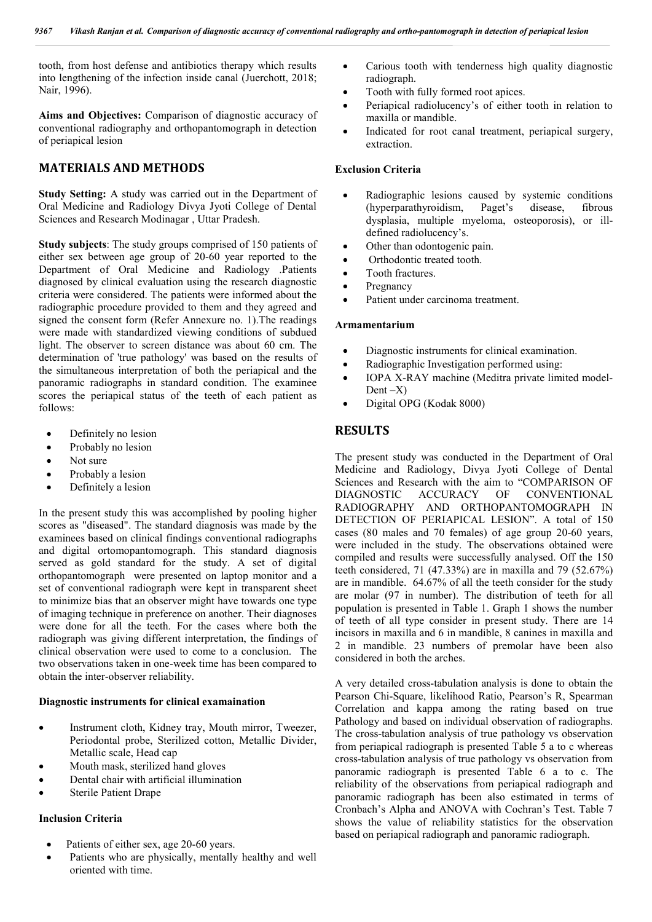tooth, from host defense and antibiotics therapy which results into lengthening of the infection inside canal (Juerchott, 2018; Nair, 1996).

**Aims and Objectives:** Comparison of diagnostic accuracy of conventional radiography and orthopantomograph in detection of periapical lesion

## **MATERIALS AND METHODS**

**Study Setting:** A study was carried out in the Department of Oral Medicine and Radiology Divya Jyoti College of Dental Sciences and Research Modinagar , Uttar Pradesh.

**Study subjects**: The study groups comprised of 150 patients of either sex between age group of 20-60 year reported to the Department of Oral Medicine and Radiology .Patients diagnosed by clinical evaluation using the research diagnostic criteria were considered. The patients were informed about the radiographic procedure provided to them and they agreed and signed the consent form (Refer Annexure no. 1).The readings were made with standardized viewing conditions of subdued light. The observer to screen distance was about 60 cm. The determination of 'true pathology' was based on the results of the simultaneous interpretation of both the periapical and the panoramic radiographs in standard condition. The examinee scores the periapical status of the teeth of each patient as follows:

- Definitely no lesion
- Probably no lesion
- Not sure
- Probably a lesion
- Definitely a lesion

In the present study this was accomplished by pooling higher scores as "diseased". The standard diagnosis was made by the examinees based on clinical findings conventional radiographs and digital ortomopantomograph. This standard diagnosis served as gold standard for the study. A set of digital orthopantomograph were presented on laptop monitor and a set of conventional radiograph were kept in transparent sheet to minimize bias that an observer might have towards one type of imaging technique in preference on another. Their diagnoses were done for all the teeth. For the cases where both the radiograph was giving different interpretation, the findings of clinical observation were used to come to a conclusion. The two observations taken in one-week time has been compared to obtain the inter-observer reliability.

## **Diagnostic instruments for clinical examaination**

- Instrument cloth, Kidney tray, Mouth mirror, Tweezer, Periodontal probe, Sterilized cotton, Metallic Divider, Metallic scale, Head cap
- Mouth mask, sterilized hand gloves
- Dental chair with artificial illumination
- Sterile Patient Drape

### **Inclusion Criteria**

- Patients of either sex, age 20-60 years.
- Patients who are physically, mentally healthy and well oriented with time.
- Carious tooth with tenderness high quality diagnostic radiograph.
- Tooth with fully formed root apices.
- Periapical radiolucency's of either tooth in relation to maxilla or mandible.
- Indicated for root canal treatment, periapical surgery, extraction.

### **Exclusion Criteria**

- Radiographic lesions caused by systemic conditions (hyperparathyroidism, Paget's disease, fibrous dysplasia, multiple myeloma, osteoporosis), or illdefined radiolucency's.
- Other than odontogenic pain.
- Orthodontic treated tooth.
- Tooth fractures.
- Pregnancy
- Patient under carcinoma treatment.

#### **Armamentarium**

- Diagnostic instruments for clinical examination.
- Radiographic Investigation performed using:
- IOPA X-RAY machine (Meditra private limited model-Dent  $-X$ )
- Digital OPG (Kodak 8000)

## **RESULTS**

The present study was conducted in the Department of Oral Medicine and Radiology, Divya Jyoti College of Dental Sciences and Research with the aim to "COMPARISON OF DIAGNOSTIC ACCURACY OF CONVENTIONAL RADIOGRAPHY AND ORTHOPANTOMOGRAPH IN DETECTION OF PERIAPICAL LESION". A total of 150 cases (80 males and 70 females) of age group 20-60 years, were included in the study. The observations obtained were compiled and results were successfully analysed. Off the 150 teeth considered, 71 (47.33%) are in maxilla and 79 (52.67%) are in mandible. 64.67% of all the teeth consider for the study are molar (97 in number). The distribution of teeth for all population is presented in Table 1. Graph 1 shows the number of teeth of all type consider in present study. There are 14 incisors in maxilla and 6 in mandible, 8 canines in maxilla and 2 in mandible. 23 numbers of premolar have been also considered in both the arches.

A very detailed cross-tabulation analysis is done to obtain the Pearson Chi-Square, likelihood Ratio, Pearson's R, Spearman Correlation and kappa among the rating based on true Pathology and based on individual observation of radiographs. The cross-tabulation analysis of true pathology vs observation from periapical radiograph is presented Table 5 a to c whereas cross-tabulation analysis of true pathology vs observation from panoramic radiograph is presented Table 6 a to c. The reliability of the observations from periapical radiograph and panoramic radiograph has been also estimated in terms of Cronbach's Alpha and ANOVA with Cochran's Test. Table 7 shows the value of reliability statistics for the observation based on periapical radiograph and panoramic radiograph.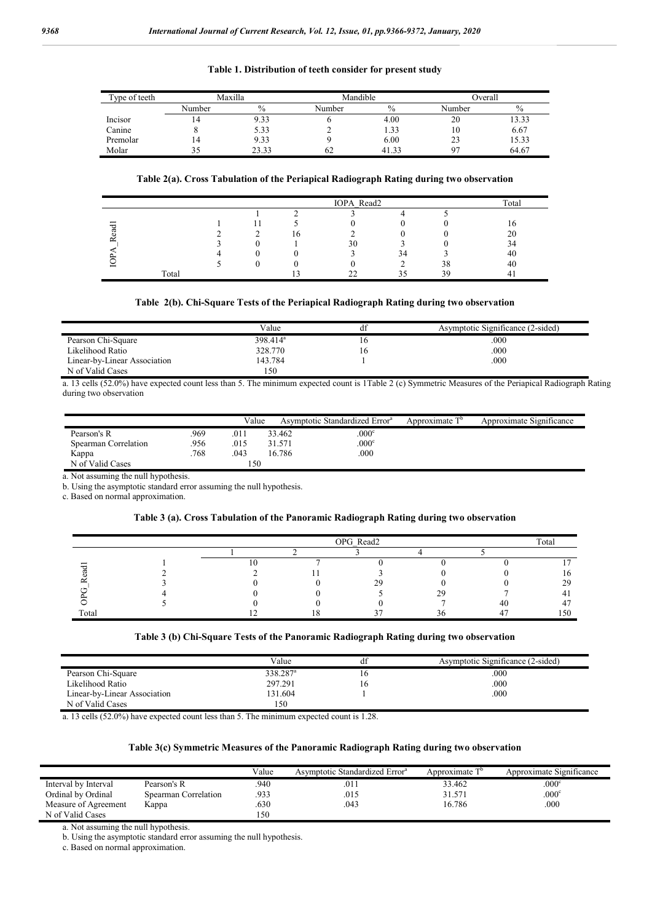#### **Table 1. Distribution of teeth consider for present study**

| Type of teeth | Maxilla |               | Mandible |               | Overall |       |
|---------------|---------|---------------|----------|---------------|---------|-------|
|               | Number  | $\frac{0}{0}$ | Number   | $\frac{0}{0}$ | Number  | $\%$  |
| Incisor       | 14      | 9.33          |          | 4.00          | 20      | 13.33 |
| Canine        |         | 5.33          |          | 1.33          | 10      | 6.67  |
| Premolar      | 14      | 9.33          |          | 6.00          | 23      | 15.33 |
| Molar         |         | 23.33         | 62       | 41.33         | ∩¬      | 64.67 |

## **Table 2(a). Cross Tabulation of the Periapical Radiograph Rating during two observation**

|                                |       |  | Total |    |    |    |    |
|--------------------------------|-------|--|-------|----|----|----|----|
|                                |       |  |       |    |    |    |    |
| $\overline{\phantom{0}}$<br>᠇᠇ |       |  |       |    |    |    |    |
| ී                              |       |  | l C   |    |    |    |    |
| $\approx$                      |       |  |       | 30 |    |    |    |
|                                |       |  |       |    | 34 |    | 40 |
|                                |       |  |       |    |    | 38 | 40 |
|                                | Total |  |       |    | ≺  | 39 |    |

#### **Table 2(b). Chi-Square Tests of the Periapical Radiograph Rating during two observation**

|                              | Value       | di | Asymptotic Significance (2-sided) |
|------------------------------|-------------|----|-----------------------------------|
| Pearson Chi-Square           | $398.414^a$ | 10 | .000                              |
| Likelihood Ratio             | 328,770     | 10 | .000                              |
| Linear-by-Linear Association | 143.784     |    | .000                              |
| N of Valid Cases             | 150         |    |                                   |

a. 13 cells (52.0%) have expected count less than 5. The minimum expected count is 1Table 2 (c) Symmetric Measures of the Periapical Radiograph Rating during two observation

|                      |      | Value |        | Asymptotic Standardized Error <sup>a</sup> | Approximate T <sup>b</sup> | Approximate Significance |
|----------------------|------|-------|--------|--------------------------------------------|----------------------------|--------------------------|
| Pearson's R          | .969 | .011  | 33.462 | .000 <sup>c</sup>                          |                            |                          |
| Spearman Correlation | 956  | .015  | 31.571 | .000 <sup>c</sup>                          |                            |                          |
| Kappa                | 768  | .043  | 16.786 | .000                                       |                            |                          |
| N of Valid Cases     |      | 150   |        |                                            |                            |                          |

a. Not assuming the null hypothesis.

b. Using the asymptotic standard error assuming the null hypothesis.

c. Based on normal approximation.

#### **Table 3 (a). Cross Tabulation of the Panoramic Radiograph Rating during two observation**

|       |  | OPG Read2 |  |  |  |     |  |  |  |
|-------|--|-----------|--|--|--|-----|--|--|--|
|       |  |           |  |  |  |     |  |  |  |
|       |  |           |  |  |  |     |  |  |  |
|       |  |           |  |  |  |     |  |  |  |
|       |  |           |  |  |  |     |  |  |  |
|       |  |           |  |  |  |     |  |  |  |
|       |  |           |  |  |  |     |  |  |  |
| Total |  |           |  |  |  | .50 |  |  |  |

### **Table 3 (b) Chi-Square Tests of the Panoramic Radiograph Rating during two observation**

|                              | Value                | αı | Asymptotic Significance (2-sided) |
|------------------------------|----------------------|----|-----------------------------------|
| Pearson Chi-Square           | 338.287 <sup>a</sup> |    | .000                              |
| Likelihood Ratio             | 297.291              |    | .000                              |
| Linear-by-Linear Association | 131.604              |    | .000                              |
| N of Valid Cases             | 50                   |    |                                   |

a. 13 cells (52.0%) have expected count less than 5. The minimum expected count is 1.28.

### **Table 3(c) Symmetric Measures of the Panoramic Radiograph Rating during two observation**

|                      |                      | Value | Asymptotic Standardized Error <sup>a</sup> | Approximate T <sup>b</sup> | Approximate Significance |
|----------------------|----------------------|-------|--------------------------------------------|----------------------------|--------------------------|
| Interval by Interval | Pearson's R          | .940  | .011                                       | 33.462                     | .000c                    |
| Ordinal by Ordinal   | Spearman Correlation | .933  | .015                                       | 31.571                     | .000c                    |
| Measure of Agreement | Kappa                | .630  | .043                                       | 16.786                     | .000                     |
| N of Valid Cases     |                      | 150   |                                            |                            |                          |

a. Not assuming the null hypothesis.

b. Using the asymptotic standard error assuming the null hypothesis.

c. Based on normal approximation.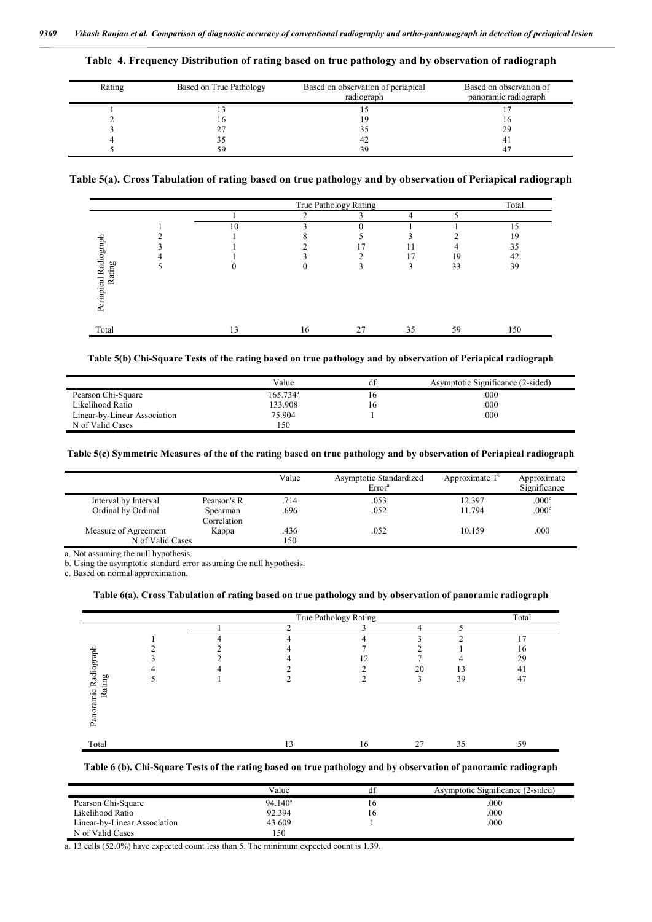|  |  |  |  |  |  |  |  | Table 4. Frequency Distribution of rating based on true pathology and by observation of radiograph |
|--|--|--|--|--|--|--|--|----------------------------------------------------------------------------------------------------|
|--|--|--|--|--|--|--|--|----------------------------------------------------------------------------------------------------|

| Rating | Based on True Pathology | Based on observation of periapical<br>radiograph | Based on observation of<br>panoramic radiograph |
|--------|-------------------------|--------------------------------------------------|-------------------------------------------------|
|        |                         |                                                  |                                                 |
|        | I O                     | 9                                                |                                                 |
|        | ∠                       |                                                  | 29                                              |
|        |                         | 42                                               |                                                 |
|        | 59                      | 39                                               |                                                 |

## **Table 5(a). Cross Tabulation of rating based on true pathology and by observation of Periapical radiograph**

|                                 | True Pathology Rating |    |    |    |    |     |  |  |
|---------------------------------|-----------------------|----|----|----|----|-----|--|--|
|                                 |                       | ◠  |    |    |    |     |  |  |
|                                 | 10                    |    |    |    |    | 15  |  |  |
|                                 |                       |    |    |    |    | 19  |  |  |
|                                 |                       |    |    | 11 | 4  | 35  |  |  |
|                                 |                       |    | ◠  | 17 | 19 | 42  |  |  |
|                                 |                       |    |    | 3  | 33 | 39  |  |  |
| Periapical Radiograph<br>Rating |                       |    |    |    |    |     |  |  |
|                                 |                       |    |    |    |    |     |  |  |
|                                 |                       |    |    |    |    |     |  |  |
|                                 |                       |    |    |    |    |     |  |  |
| Total                           | 13                    | 16 | 27 | 35 | 59 | 150 |  |  |

#### **Table 5(b) Chi-Square Tests of the rating based on true pathology and by observation of Periapical radiograph**

|                              | Value                  | d1 | Asymptotic Significance (2-sided) |
|------------------------------|------------------------|----|-----------------------------------|
| Pearson Chi-Square           | $165.734$ <sup>a</sup> |    | .000                              |
| Likelihood Ratio             | 133.908                | ۵U | .000                              |
| Linear-by-Linear Association | 75.904                 |    | .000                              |
| N of Valid Cases             | 150                    |    |                                   |

#### **Table 5(c) Symmetric Measures of the of the rating based on true pathology and by observation of Periapical radiograph**

|                      |             | Value | Asymptotic Standardized<br>Error <sup>a</sup> | Approximate $T^b$ | Approximate<br>Significance |
|----------------------|-------------|-------|-----------------------------------------------|-------------------|-----------------------------|
| Interval by Interval | Pearson's R | .714  | .053                                          | 12.397            | .000 <sup>c</sup>           |
| Ordinal by Ordinal   | Spearman    | .696  | .052                                          | 11.794            | .000 <sup>c</sup>           |
|                      | Correlation |       |                                               |                   |                             |
| Measure of Agreement | Kappa       | .436  | .052                                          | 10.159            | .000                        |
| N of Valid Cases     |             | 150   |                                               |                   |                             |
| .                    |             |       |                                               |                   |                             |

a. Not assuming the null hypothesis.

b. Using the asymptotic standard error assuming the null hypothesis.

c. Based on normal approximation.

### **Table 6(a). Cross Tabulation of rating based on true pathology and by observation of panoramic radiograph**

|                                |   |               | True Pathology Rating |             |    | Total |
|--------------------------------|---|---------------|-----------------------|-------------|----|-------|
|                                |   | $\mathcal{L}$ |                       | 4           |    |       |
|                                | 4 | 4             |                       |             | ◠  | C.    |
|                                |   |               |                       |             |    | 16    |
|                                |   |               | 12                    |             |    | 29    |
|                                |   |               |                       | 20          | 13 | 41    |
| Panoramic Radiograph<br>Rating |   |               |                       | $\sim$<br>٠ | 39 | 47    |
| Total                          |   | 13            | 16                    | 27          | 35 | 59    |

#### **Table 6 (b). Chi-Square Tests of the rating based on true pathology and by observation of panoramic radiograph**

|                              | Value      |     | Asymptotic Significance (2-sided) |
|------------------------------|------------|-----|-----------------------------------|
| Pearson Chi-Square           | $94.140^a$ | I C | .000                              |
| Likelihood Ratio             | 92.394     | ١D  | .000                              |
| Linear-by-Linear Association | 43.609     |     | .000                              |
| N of Valid Cases             | l 50       |     |                                   |

a. 13 cells (52.0%) have expected count less than 5. The minimum expected count is 1.39.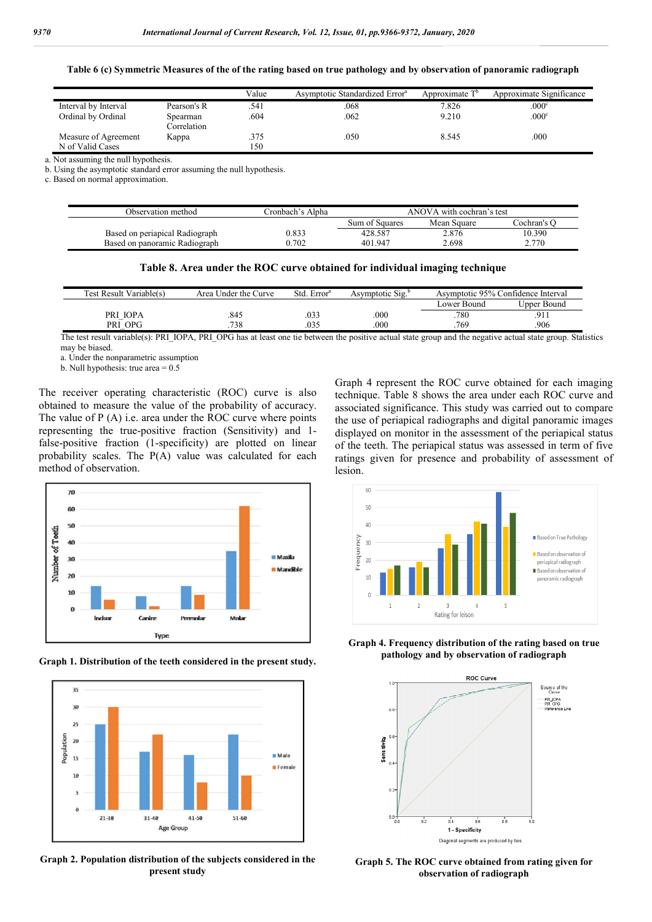**Table 6 (c) Symmetric Measures of the of the rating based on true pathology and by observation of panoramic radiograph**

|                      |             | Value | Asymptotic Standardized Error <sup>a</sup> | Approximate T <sup>o</sup> | Approximate Significance |
|----------------------|-------------|-------|--------------------------------------------|----------------------------|--------------------------|
| Interval by Interval | Pearson's R | .541  | .068                                       | 7.826                      | .000 <sup>c</sup>        |
| Ordinal by Ordinal   | Spearman    | .604  | .062                                       | 9.210                      | .000 <sup>c</sup>        |
|                      | Correlation |       |                                            |                            |                          |
| Measure of Agreement | Kappa       | .375  | .050                                       | 8.545                      | 000                      |
| N of Valid Cases     |             | 150   |                                            |                            |                          |

a. Not assuming the null hypothesis.

b. Using the asymptotic standard error assuming the null hypothesis.

c. Based on normal approximation.

| Observation method             | Cronbach's Alpha- | ANOVA with cochran's test |             |             |
|--------------------------------|-------------------|---------------------------|-------------|-------------|
|                                |                   | Sum of Squares            | Mean Square | Cochran's C |
| Based on periapical Radiograph | 0.833             | 428.587                   | 2.876       | 10.390      |
| Based on panoramic Radiograph  | 0.702             | 401.947                   | 2.698       | 2.770       |

| Table 8. Area under the ROC curve obtained for individual imaging technique |  |  |  |  |
|-----------------------------------------------------------------------------|--|--|--|--|
|-----------------------------------------------------------------------------|--|--|--|--|

| Test Result Variable(s) | Area Under the Curve | . Error <sup>s</sup><br>Std. | Asymptotic Sig. | Asymptotic 95% Confidence Interval |                     |
|-------------------------|----------------------|------------------------------|-----------------|------------------------------------|---------------------|
|                         |                      |                              |                 | Lower Bound                        | Joper Bound         |
| PRI IOPA                | .845                 | .033                         | .000            | .780                               | Q <sub>1</sub><br>. |
| OPG<br>PRI              | 738                  | .035                         | .000            | .769                               | .906                |

The test result variable(s): PRI\_IOPA, PRI\_OPG has at least one tie between the positive actual state group and the negative actual state group. Statistics may be biased.

a. Under the nonparametric assumption

b. Null hypothesis: true area = 0.5

The receiver operating characteristic (ROC) curve is also obtained to measure the value of the probability of accuracy. The value of P (A) i.e. area under the ROC curve where points representing the true-positive fraction (Sensitivity) and 1 false-positive fraction (1-specificity) are plotted on linear probability scales. The P(A) value was calculated for each method of observation.



**Graph 1. Distribution of the teeth considered in the present study.**



**Graph 2. Population distribution of the subjects considered in the present study**

Graph 4 represent the ROC curve obtained for each imaging technique. Table 8 shows the area under each ROC curve and associated significance. This study was carried out to compare the use of periapical radiographs and digital panoramic images displayed on monitor in the assessment of the periapical status of the teeth. The periapical status was assessed in term of five ratings given for presence and probability of assessment of lesion.



**Graph 4. Frequency distribution of the rating based on true pathology and by observation of radiograph**



**Graph 5. The ROC curve obtained from rating given for observation of radiograph**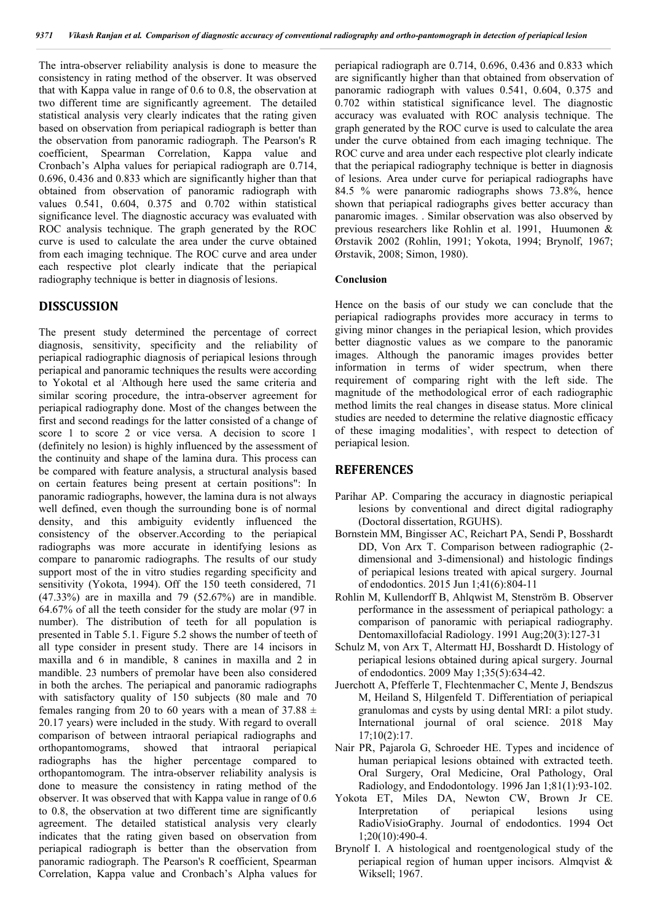The intra-observer reliability analysis is done to measure the consistency in rating method of the observer. It was observed that with Kappa value in range of 0.6 to 0.8, the observation at two different time are significantly agreement. The detailed statistical analysis very clearly indicates that the rating given based on observation from periapical radiograph is better than the observation from panoramic radiograph. The Pearson's R coefficient, Spearman Correlation, Kappa value and Cronbach's Alpha values for periapical radiograph are 0.714, 0.696, 0.436 and 0.833 which are significantly higher than that obtained from observation of panoramic radiograph with values 0.541, 0.604, 0.375 and 0.702 within statistical significance level. The diagnostic accuracy was evaluated with ROC analysis technique. The graph generated by the ROC curve is used to calculate the area under the curve obtained from each imaging technique. The ROC curve and area under each respective plot clearly indicate that the periapical radiography technique is better in diagnosis of lesions.

## **DISSCUSSION**

The present study determined the percentage of correct diagnosis, sensitivity, specificity and the reliability of periapical radiographic diagnosis of periapical lesions through periapical and panoramic techniques the results were according to Yokotal et al . Although here used the same criteria and similar scoring procedure, the intra-observer agreement for periapical radiography done. Most of the changes between the first and second readings for the latter consisted of a change of score 1 to score 2 or vice versa. A decision to score 1 (definitely no lesion) is highly influenced by the assessment of the continuity and shape of the lamina dura. This process can be compared with feature analysis, a structural analysis based on certain features being present at certain positions": In panoramic radiographs, however, the lamina dura is not always well defined, even though the surrounding bone is of normal density, and this ambiguity evidently influenced the consistency of the observer.According to the periapical radiographs was more accurate in identifying lesions as compare to panaromic radiographs. The results of our study support most of the in vitro studies regarding specificity and sensitivity (Yokota, 1994). Off the 150 teeth considered, 71 (47.33%) are in maxilla and 79 (52.67%) are in mandible. 64.67% of all the teeth consider for the study are molar (97 in number). The distribution of teeth for all population is presented in Table 5.1. Figure 5.2 shows the number of teeth of all type consider in present study. There are 14 incisors in maxilla and 6 in mandible, 8 canines in maxilla and 2 in mandible. 23 numbers of premolar have been also considered in both the arches. The periapical and panoramic radiographs with satisfactory quality of 150 subjects (80 male and 70 females ranging from 20 to 60 years with a mean of  $37.88 \pm$ 20.17 years) were included in the study. With regard to overall comparison of between intraoral periapical radiographs and orthopantomograms, showed that intraoral periapical radiographs has the higher percentage compared to orthopantomogram. The intra-observer reliability analysis is done to measure the consistency in rating method of the observer. It was observed that with Kappa value in range of 0.6 to 0.8, the observation at two different time are significantly agreement. The detailed statistical analysis very clearly indicates that the rating given based on observation from periapical radiograph is better than the observation from panoramic radiograph. The Pearson's R coefficient, Spearman Correlation, Kappa value and Cronbach's Alpha values for

periapical radiograph are 0.714, 0.696, 0.436 and 0.833 which are significantly higher than that obtained from observation of panoramic radiograph with values 0.541, 0.604, 0.375 and 0.702 within statistical significance level. The diagnostic accuracy was evaluated with ROC analysis technique. The graph generated by the ROC curve is used to calculate the area under the curve obtained from each imaging technique. The ROC curve and area under each respective plot clearly indicate that the periapical radiography technique is better in diagnosis of lesions. Area under curve for periapical radiographs have 84.5 % were panaromic radiographs shows 73.8%, hence shown that periapical radiographs gives better accuracy than panaromic images. . Similar observation was also observed by previous researchers like Rohlin et al. 1991, Huumonen & Ørstavik 2002 (Rohlin, 1991; Yokota, 1994; Brynolf, 1967; Ørstavik, 2008; Simon, 1980).

## **Conclusion**

Hence on the basis of our study we can conclude that the periapical radiographs provides more accuracy in terms to giving minor changes in the periapical lesion, which provides better diagnostic values as we compare to the panoramic images. Although the panoramic images provides better information in terms of wider spectrum, when there requirement of comparing right with the left side. The magnitude of the methodological error of each radiographic method limits the real changes in disease status. More clinical studies are needed to determine the relative diagnostic efficacy of these imaging modalities', with respect to detection of periapical lesion.

## **REFERENCES**

- Parihar AP. Comparing the accuracy in diagnostic periapical lesions by conventional and direct digital radiography (Doctoral dissertation, RGUHS).
- Bornstein MM, Bingisser AC, Reichart PA, Sendi P, Bosshardt DD, Von Arx T. Comparison between radiographic (2 dimensional and 3-dimensional) and histologic findings of periapical lesions treated with apical surgery. Journal of endodontics. 2015 Jun 1;41(6):804-11
- Rohlin M, Kullendorff B, Ahlqwist M, Stenström B. Observer performance in the assessment of periapical pathology: a comparison of panoramic with periapical radiography. Dentomaxillofacial Radiology. 1991 Aug;20(3):127-31
- Schulz M, von Arx T, Altermatt HJ, Bosshardt D. Histology of periapical lesions obtained during apical surgery. Journal of endodontics. 2009 May 1;35(5):634-42.
- Juerchott A, Pfefferle T, Flechtenmacher C, Mente J, Bendszus M, Heiland S, Hilgenfeld T. Differentiation of periapical granulomas and cysts by using dental MRI: a pilot study. International journal of oral science. 2018 May 17;10(2):17.
- Nair PR, Pajarola G, Schroeder HE. Types and incidence of human periapical lesions obtained with extracted teeth. Oral Surgery, Oral Medicine, Oral Pathology, Oral Radiology, and Endodontology. 1996 Jan 1;81(1):93-102.
- Yokota ET, Miles DA, Newton CW, Brown Jr CE. Interpretation of periapical lesions using RadioVisioGraphy. Journal of endodontics. 1994 Oct 1;20(10):490-4.
- Brynolf I. A histological and roentgenological study of the periapical region of human upper incisors. Almqvist & Wiksell; 1967.